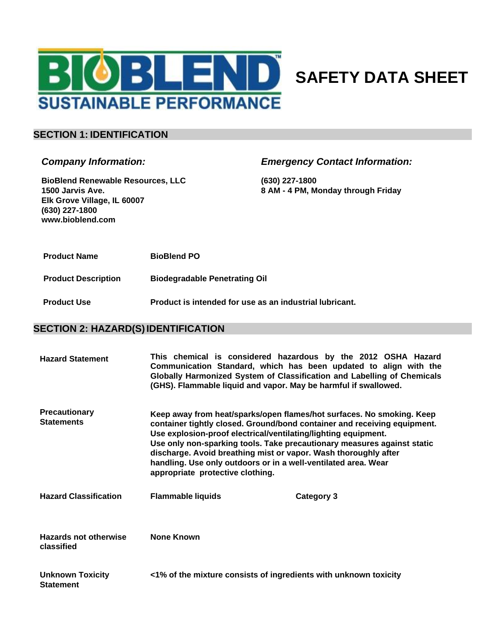

# **SAFETY DATA SHEET**

### **SECTION 1: IDENTIFICATION**

#### *Company Information:*

**BioBlend Renewable Resources, LLC 1500 Jarvis Ave. Elk Grove Village, IL 60007 (630) 227-1800 [www.bioblend.com](http://www.bioblend.com/)**

### *Emergency Contact Information:*

**(630) 227-1800 8 AM - 4 PM, Monday through Friday**

- **Product Name BioBlend PO**
- **Product Description Biodegradable Penetrating Oil**
- **Product Use Product is intended for use as an industrial lubricant.**

### **SECTION 2: HAZARD(S)IDENTIFICATION**

| <b>Hazard Statement</b>                     | (GHS). Flammable liquid and vapor. May be harmful if swallowed.                                                                                                                                                                                                                                                                                                                                                                                                         | This chemical is considered hazardous by the 2012 OSHA Hazard<br>Communication Standard, which has been updated to align with the<br>Globally Harmonized System of Classification and Labelling of Chemicals |
|---------------------------------------------|-------------------------------------------------------------------------------------------------------------------------------------------------------------------------------------------------------------------------------------------------------------------------------------------------------------------------------------------------------------------------------------------------------------------------------------------------------------------------|--------------------------------------------------------------------------------------------------------------------------------------------------------------------------------------------------------------|
| <b>Precautionary</b><br><b>Statements</b>   | Keep away from heat/sparks/open flames/hot surfaces. No smoking. Keep<br>container tightly closed. Ground/bond container and receiving equipment.<br>Use explosion-proof electrical/ventilating/lighting equipment.<br>Use only non-sparking tools. Take precautionary measures against static<br>discharge. Avoid breathing mist or vapor. Wash thoroughly after<br>handling. Use only outdoors or in a well-ventilated area. Wear<br>appropriate protective clothing. |                                                                                                                                                                                                              |
| <b>Hazard Classification</b>                | <b>Flammable liquids</b>                                                                                                                                                                                                                                                                                                                                                                                                                                                | Category 3                                                                                                                                                                                                   |
| <b>Hazards not otherwise</b><br>classified  | <b>None Known</b>                                                                                                                                                                                                                                                                                                                                                                                                                                                       |                                                                                                                                                                                                              |
| <b>Unknown Toxicity</b><br><b>Statement</b> | <1% of the mixture consists of ingredients with unknown toxicity                                                                                                                                                                                                                                                                                                                                                                                                        |                                                                                                                                                                                                              |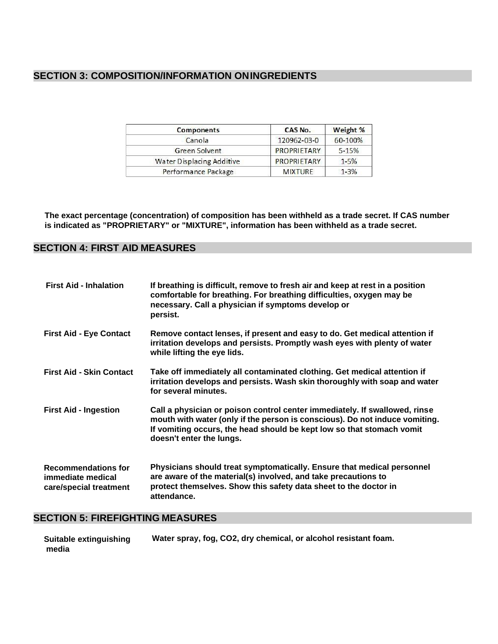## **SECTION 3: COMPOSITION/INFORMATION ONINGREDIENTS**

| Components                | CAS No.            | Weight %  |
|---------------------------|--------------------|-----------|
| Canola                    | 120962-03-0        | 60-100%   |
| <b>Green Solvent</b>      | PROPRIETARY        | $5 - 15%$ |
| Water Displacing Additive | <b>PROPRIETARY</b> | $1 - 5%$  |
| Performance Package       | <b>MIXTURE</b>     | $1 - 3%$  |

**The exact percentage (concentration) of composition has been withheld as a trade secret. If CAS number is indicated as "PROPRIETARY" or "MIXTURE", information has been withheld as a trade secret.**

### **SECTION 4: FIRST AID MEASURES**

| <b>First Aid - Inhalation</b>                                             | If breathing is difficult, remove to fresh air and keep at rest in a position<br>comfortable for breathing. For breathing difficulties, oxygen may be<br>necessary. Call a physician if symptoms develop or<br>persist.                                        |
|---------------------------------------------------------------------------|----------------------------------------------------------------------------------------------------------------------------------------------------------------------------------------------------------------------------------------------------------------|
| <b>First Aid - Eye Contact</b>                                            | Remove contact lenses, if present and easy to do. Get medical attention if<br>irritation develops and persists. Promptly wash eyes with plenty of water<br>while lifting the eye lids.                                                                         |
| <b>First Aid - Skin Contact</b>                                           | Take off immediately all contaminated clothing. Get medical attention if<br>irritation develops and persists. Wash skin thoroughly with soap and water<br>for several minutes.                                                                                 |
| <b>First Aid - Ingestion</b>                                              | Call a physician or poison control center immediately. If swallowed, rinse<br>mouth with water (only if the person is conscious). Do not induce vomiting.<br>If vomiting occurs, the head should be kept low so that stomach vomit<br>doesn't enter the lungs. |
| <b>Recommendations for</b><br>immediate medical<br>care/special treatment | Physicians should treat symptomatically. Ensure that medical personnel<br>are aware of the material(s) involved, and take precautions to<br>protect themselves. Show this safety data sheet to the doctor in<br>attendance.                                    |

# **SECTION 5: FIREFIGHTING MEASURES**

| Suitable extinguishing | Water spray, fog, CO2, dry chemical, or alcohol resistant foam. |
|------------------------|-----------------------------------------------------------------|
| media                  |                                                                 |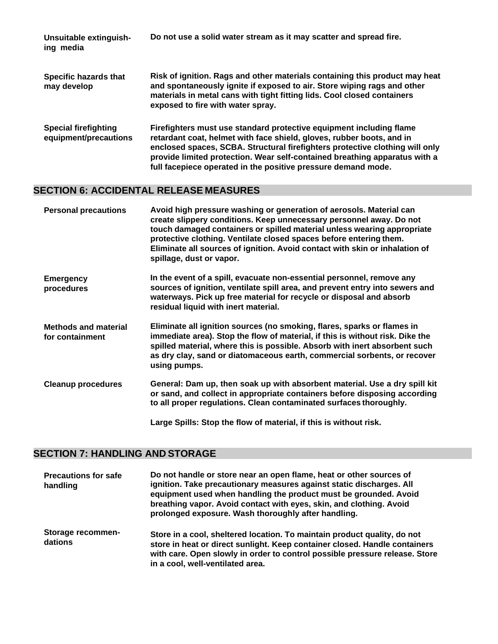| Unsuitable extinguish-<br>ing media                  | Do not use a solid water stream as it may scatter and spread fire.                                                                                                                                                                                                                                                                                                          |
|------------------------------------------------------|-----------------------------------------------------------------------------------------------------------------------------------------------------------------------------------------------------------------------------------------------------------------------------------------------------------------------------------------------------------------------------|
| Specific hazards that<br>may develop                 | Risk of ignition. Rags and other materials containing this product may heat<br>and spontaneously ignite if exposed to air. Store wiping rags and other<br>materials in metal cans with tight fitting lids. Cool closed containers<br>exposed to fire with water spray.                                                                                                      |
| <b>Special firefighting</b><br>equipment/precautions | Firefighters must use standard protective equipment including flame<br>retardant coat, helmet with face shield, gloves, rubber boots, and in<br>enclosed spaces, SCBA. Structural firefighters protective clothing will only<br>provide limited protection. Wear self-contained breathing apparatus with a<br>full facepiece operated in the positive pressure demand mode. |

# **SECTION 6: ACCIDENTAL RELEASE MEASURES**

| <b>Personal precautions</b>                    | Avoid high pressure washing or generation of aerosols. Material can<br>create slippery conditions. Keep unnecessary personnel away. Do not<br>touch damaged containers or spilled material unless wearing appropriate<br>protective clothing. Ventilate closed spaces before entering them.<br>Eliminate all sources of ignition. Avoid contact with skin or inhalation of<br>spillage, dust or vapor. |
|------------------------------------------------|--------------------------------------------------------------------------------------------------------------------------------------------------------------------------------------------------------------------------------------------------------------------------------------------------------------------------------------------------------------------------------------------------------|
| <b>Emergency</b><br>procedures                 | In the event of a spill, evacuate non-essential personnel, remove any<br>sources of ignition, ventilate spill area, and prevent entry into sewers and<br>waterways. Pick up free material for recycle or disposal and absorb<br>residual liquid with inert material.                                                                                                                                   |
| <b>Methods and material</b><br>for containment | Eliminate all ignition sources (no smoking, flares, sparks or flames in<br>immediate area). Stop the flow of material, if this is without risk. Dike the<br>spilled material, where this is possible. Absorb with inert absorbent such<br>as dry clay, sand or diatomaceous earth, commercial sorbents, or recover<br>using pumps.                                                                     |
| <b>Cleanup procedures</b>                      | General: Dam up, then soak up with absorbent material. Use a dry spill kit<br>or sand, and collect in appropriate containers before disposing according<br>to all proper regulations. Clean contaminated surfaces thoroughly.                                                                                                                                                                          |
|                                                | Large Spills: Stop the flow of material, if this is without risk.                                                                                                                                                                                                                                                                                                                                      |

# **SECTION 7: HANDLING AND STORAGE**

| <b>Precautions for safe</b><br>handling | Do not handle or store near an open flame, heat or other sources of<br>ignition. Take precautionary measures against static discharges. All<br>equipment used when handling the product must be grounded. Avoid<br>breathing vapor. Avoid contact with eyes, skin, and clothing. Avoid<br>prolonged exposure. Wash thoroughly after handling. |
|-----------------------------------------|-----------------------------------------------------------------------------------------------------------------------------------------------------------------------------------------------------------------------------------------------------------------------------------------------------------------------------------------------|
| Storage recommen-<br>dations            | Store in a cool, sheltered location. To maintain product quality, do not<br>store in heat or direct sunlight. Keep container closed. Handle containers<br>with care. Open slowly in order to control possible pressure release. Store<br>in a cool, well-ventilated area.                                                                     |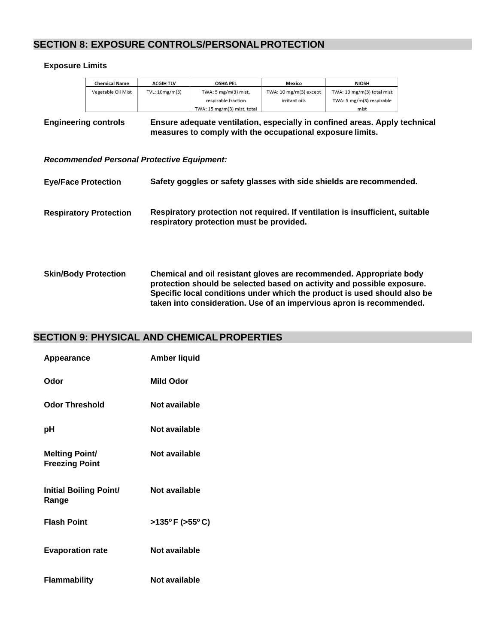### **SECTION 8: EXPOSURE CONTROLS/PERSONALPROTECTION**

#### **Exposure Limits**

| <b>Chemical Name</b> | <b>ACGIH TLV</b> | <b>OSHA PEL</b>             | <b>Mexico</b>          | <b>NIOSH</b>               |
|----------------------|------------------|-----------------------------|------------------------|----------------------------|
| Vegetable Oil Mist   | TVL: 10mg/m(3)   | TWA: 5 $mg/m(3)$ mist,      | TWA: 10 mg/m(3) except | TWA: 10 mg/m(3) total mist |
|                      |                  | respirable fraction         | irritant oils          | TWA: 5 mg/m(3) respirable  |
|                      |                  | TWA: 15 mg/m(3) mist, total |                        | mist                       |

#### **Engineering controls Ensure adequate ventilation, especially in confined areas. Apply technical measures to comply with the occupational exposure limits.**

#### *Recommended Personal Protective Equipment:*

| <b>Eye/Face Protection</b>    | Safety goggles or safety glasses with side shields are recommended.                                                       |
|-------------------------------|---------------------------------------------------------------------------------------------------------------------------|
| <b>Respiratory Protection</b> | Respiratory protection not required. If ventilation is insufficient, suitable<br>respiratory protection must be provided. |
|                               |                                                                                                                           |

**Skin/Body Protection Chemical and oil resistant gloves are recommended. Appropriate body protection should be selected based on activity and possible exposure. Specific local conditions under which the product is used should also be taken into consideration. Use of an impervious apron is recommended.**

### **SECTION 9: PHYSICAL AND CHEMICALPROPERTIES**

| Appearance                                     | <b>Amber liquid</b> |
|------------------------------------------------|---------------------|
| Odor                                           | <b>Mild Odor</b>    |
| <b>Odor Threshold</b>                          | Not available       |
| рH                                             | Not available       |
| <b>Melting Point/</b><br><b>Freezing Point</b> | Not available       |
| <b>Initial Boiling Point/</b><br>Range         | Not available       |
| <b>Flash Point</b>                             | >135°F (>55°C)      |
| <b>Evaporation rate</b>                        | Not available       |
| <b>Flammability</b>                            | Not available       |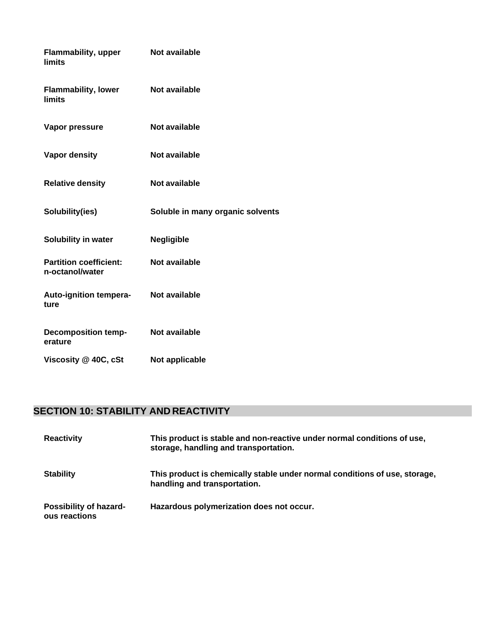| <b>Flammability, upper</b><br>limits             | Not available                    |
|--------------------------------------------------|----------------------------------|
| <b>Flammability, lower</b><br><b>limits</b>      | <b>Not available</b>             |
| Vapor pressure                                   | Not available                    |
| <b>Vapor density</b>                             | Not available                    |
| <b>Relative density</b>                          | <b>Not available</b>             |
| Solubility(ies)                                  | Soluble in many organic solvents |
| Solubility in water                              | <b>Negligible</b>                |
| <b>Partition coefficient:</b><br>n-octanol/water | <b>Not available</b>             |
| Auto-ignition tempera-<br>ture                   | Not available                    |
| <b>Decomposition temp-</b><br>erature            | Not available                    |
| Viscosity @ 40C, cSt                             | Not applicable                   |

# **SECTION 10: STABILITY AND REACTIVITY**

| <b>Reactivity</b>                       | This product is stable and non-reactive under normal conditions of use,<br>storage, handling and transportation. |
|-----------------------------------------|------------------------------------------------------------------------------------------------------------------|
| <b>Stability</b>                        | This product is chemically stable under normal conditions of use, storage,<br>handling and transportation.       |
| Possibility of hazard-<br>ous reactions | Hazardous polymerization does not occur.                                                                         |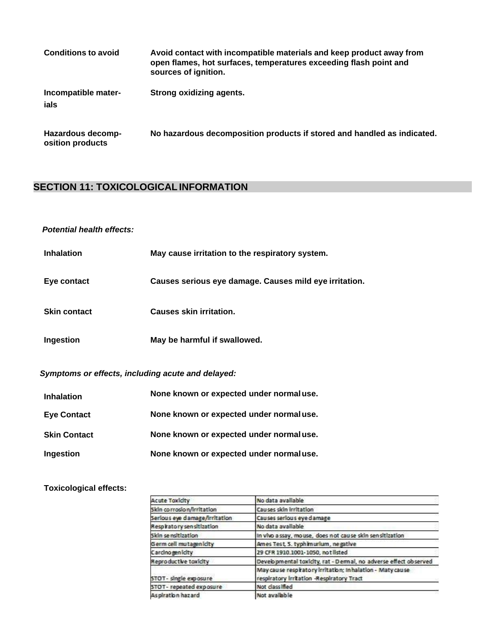| <b>Conditions to avoid</b>            | Avoid contact with incompatible materials and keep product away from<br>open flames, hot surfaces, temperatures exceeding flash point and<br>sources of ignition. |
|---------------------------------------|-------------------------------------------------------------------------------------------------------------------------------------------------------------------|
| Incompatible mater-<br>ials           | Strong oxidizing agents.                                                                                                                                          |
| Hazardous decomp-<br>osition products | No hazardous decomposition products if stored and handled as indicated.                                                                                           |

# **SECTION 11: TOXICOLOGICAL INFORMATION**

### *Potential health effects:*

| <b>Inhalation</b>   | May cause irritation to the respiratory system.        |
|---------------------|--------------------------------------------------------|
| Eye contact         | Causes serious eye damage. Causes mild eye irritation. |
| <b>Skin contact</b> | <b>Causes skin irritation.</b>                         |
| Ingestion           | May be harmful if swallowed.                           |

# *Symptoms or effects, including acute and delayed:*

| <b>Inhalation</b>   | None known or expected under normaluse. |
|---------------------|-----------------------------------------|
| <b>Eye Contact</b>  | None known or expected under normaluse. |
| <b>Skin Contact</b> | None known or expected under normaluse. |
| Ingestion           | None known or expected under normaluse. |

#### **Toxicological effects:**

| <b>Acute Toxicity</b>         | No data available                                                                                      |
|-------------------------------|--------------------------------------------------------------------------------------------------------|
| Skin corrosion/irritation     | Causes skin irritation                                                                                 |
| Serious eye damage/irritation | Causes serious eye damage                                                                              |
| Respiratory sensitization     | No data available                                                                                      |
| Skin sensitization            | In vivo a ssay, mouse, does not cause skin sensitization                                               |
| Germ cell mutagenidty         | Ames Test, S. typh murlum, negative                                                                    |
| Carcinogenicity               | 29 CFR 1910.1001-1050, not listed                                                                      |
| <b>Reproductive toxicity</b>  | Developmental toxicity, rat - Dermal, no adverse effect observed                                       |
| STOT- single exposure         | May cause respiratory Irritation; Inhalation - Maty cause<br>respiratory irritation -Respiratory Tract |
| STOT- repeated exposure       | Not class lifed                                                                                        |
| As piration hazard            | Not available                                                                                          |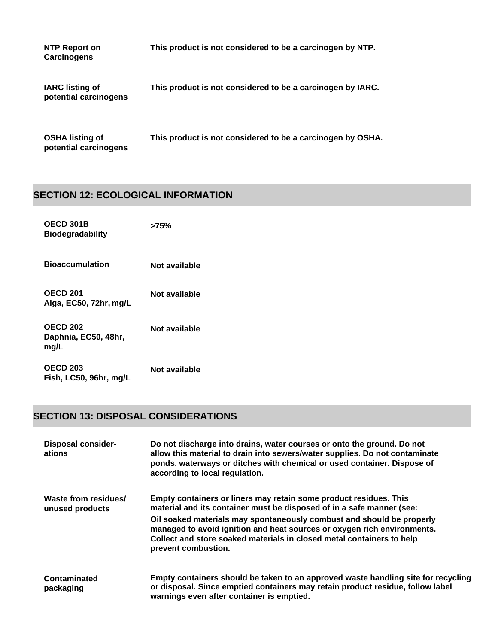| NTP Report on<br><b>Carcinogens</b>             | This product is not considered to be a carcinogen by NTP.  |
|-------------------------------------------------|------------------------------------------------------------|
| <b>IARC</b> listing of<br>potential carcinogens | This product is not considered to be a carcinogen by IARC. |
| <b>OSHA listing of</b><br>potential carcinogens | This product is not considered to be a carcinogen by OSHA. |

# **SECTION 12: ECOLOGICAL INFORMATION**

| OECD 301B<br><b>Biodegradability</b>            | >75%          |
|-------------------------------------------------|---------------|
| <b>Bioaccumulation</b>                          | Not available |
| <b>OECD 201</b><br>Alga, EC50, 72hr, mg/L       | Not available |
| <b>OECD 202</b><br>Daphnia, EC50, 48hr,<br>mg/L | Not available |
| <b>OECD 203</b><br>Fish, LC50, 96hr, mg/L       | Not available |

# **SECTION 13: DISPOSAL CONSIDERATIONS**

| <b>Disposal consider-</b><br>ations     | Do not discharge into drains, water courses or onto the ground. Do not<br>allow this material to drain into sewers/water supplies. Do not contaminate<br>ponds, waterways or ditches with chemical or used container. Dispose of<br>according to local regulation.                                                                                                                             |
|-----------------------------------------|------------------------------------------------------------------------------------------------------------------------------------------------------------------------------------------------------------------------------------------------------------------------------------------------------------------------------------------------------------------------------------------------|
| Waste from residues/<br>unused products | Empty containers or liners may retain some product residues. This<br>material and its container must be disposed of in a safe manner (see:<br>Oil soaked materials may spontaneously combust and should be properly<br>managed to avoid ignition and heat sources or oxygen rich environments.<br>Collect and store soaked materials in closed metal containers to help<br>prevent combustion. |
| Contaminated<br>packaging               | Empty containers should be taken to an approved waste handling site for recycling<br>or disposal. Since emptied containers may retain product residue, follow label<br>warnings even after container is emptied.                                                                                                                                                                               |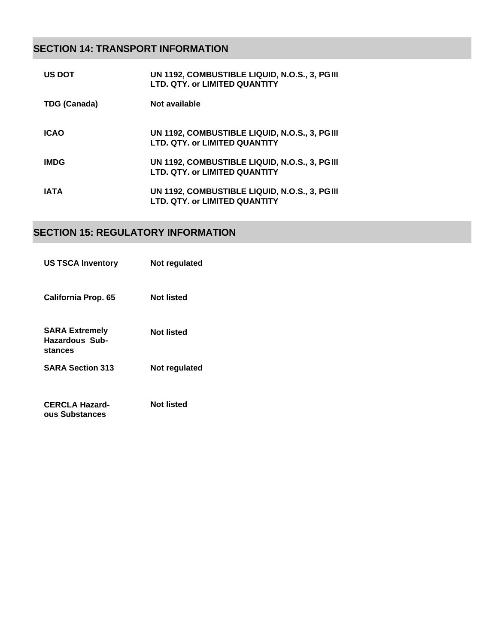# **SECTION 14: TRANSPORT INFORMATION**

| <b>US DOT</b> | UN 1192, COMBUSTIBLE LIQUID, N.O.S., 3, PGIII<br>LTD. QTY. or LIMITED QUANTITY |
|---------------|--------------------------------------------------------------------------------|
| TDG (Canada)  | Not available                                                                  |
| <b>ICAO</b>   | UN 1192, COMBUSTIBLE LIQUID, N.O.S., 3, PGIII<br>LTD. QTY. or LIMITED QUANTITY |
| <b>IMDG</b>   | UN 1192, COMBUSTIBLE LIQUID, N.O.S., 3, PGIII<br>LTD. QTY. or LIMITED QUANTITY |
| IATA          | UN 1192, COMBUSTIBLE LIQUID, N.O.S., 3, PGIII<br>LTD. QTY. or LIMITED QUANTITY |

# **SECTION 15: REGULATORY INFORMATION**

| <b>US TSCA Inventory</b>                                  | Not regulated     |
|-----------------------------------------------------------|-------------------|
| California Prop. 65                                       | <b>Not listed</b> |
| <b>SARA Extremely</b><br><b>Hazardous Sub-</b><br>stances | Not listed        |
| <b>SARA Section 313</b>                                   | Not regulated     |
| <b>CERCLA Hazard-</b><br>ous Substances                   | Not listed        |